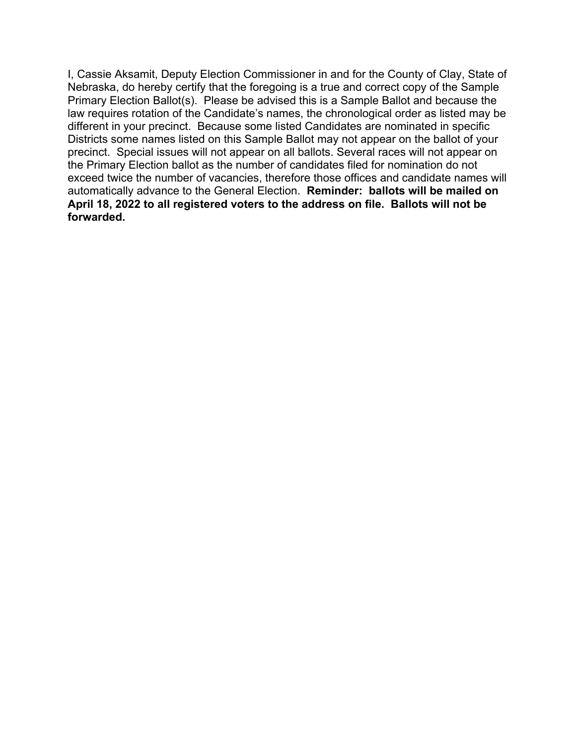I, Cassie Aksamit, Deputy Election Commissioner in and for the County of Clay, State of Nebraska, do hereby certify that the foregoing is a true and correct copy of the Sample Primary Election Ballot(s). Please be advised this is a Sample Ballot and because the law requires rotation of the Candidate's names, the chronological order as listed may be different in your precinct. Because some listed Candidates are nominated in specific Districts some names listed on this Sample Ballot may not appear on the ballot of your precinct. Special issues will not appear on all ballots. Several races will not appear on the Primary Election ballot as the number of candidates filed for nomination do not exceed twice the number of vacancies, therefore those offices and candidate names will automatically advance to the General Election. **Reminder: ballots will be mailed on April 18, 2022 to all registered voters to the address on file. Ballots will not be forwarded.**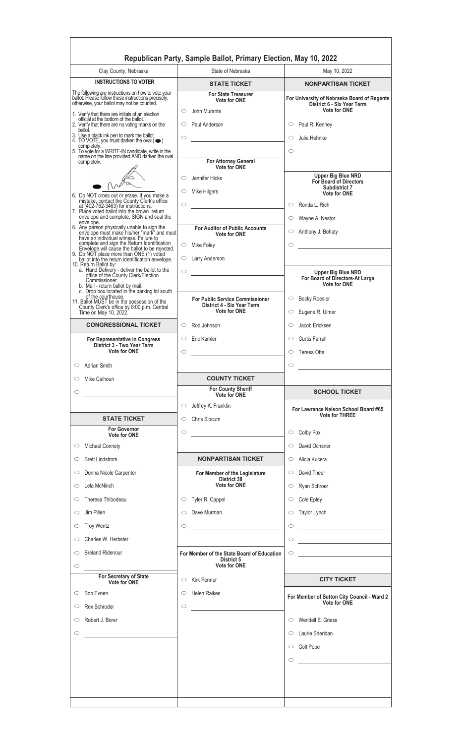|                                                                                                                                              | Republican Party, Sample Ballot, Primary Election, May 10, 2022                                                                                                                         |                                                                                                                                                                                                                                                                                                                                                                                                              |
|----------------------------------------------------------------------------------------------------------------------------------------------|-----------------------------------------------------------------------------------------------------------------------------------------------------------------------------------------|--------------------------------------------------------------------------------------------------------------------------------------------------------------------------------------------------------------------------------------------------------------------------------------------------------------------------------------------------------------------------------------------------------------|
| Clay County, Nebraska<br><b>INSTRUCTIONS TO VOTER</b>                                                                                        | State of Nebraska                                                                                                                                                                       | May 10, 2022                                                                                                                                                                                                                                                                                                                                                                                                 |
| The following are instructions on how to vote your                                                                                           | <b>STATE TICKET</b><br><b>For State Treasurer</b>                                                                                                                                       | <b>NONPARTISAN TICKET</b>                                                                                                                                                                                                                                                                                                                                                                                    |
| ballot. Please follow these instructions precisely,<br>otherwise, your ballot may not be counted.                                            | <b>Vote for ONE</b><br>John Murante<br>$\circ$                                                                                                                                          | For University of Nebraska Board of Regents<br>District 6 - Six Year Term<br><b>Vote for ONE</b>                                                                                                                                                                                                                                                                                                             |
| 1. Verify that there are initials of an election<br>official at the bottom of the ballot.<br>2. Verify that there are no voting marks on the | $\circ$<br>Paul Anderson                                                                                                                                                                | $\circ$ Paul R. Kenney                                                                                                                                                                                                                                                                                                                                                                                       |
| ballot.<br>3. Use a black ink pen to mark the ballot.<br>4. TO VOTE, you must darken the oval $(\bullet)$<br>completely.                     | $\circ$                                                                                                                                                                                 | $\circ$<br>Julie Hehnke                                                                                                                                                                                                                                                                                                                                                                                      |
| 5. To vote for a WRITE-IN candidate, write in the<br>name on the line provided AND darken the oval                                           |                                                                                                                                                                                         | $\circ$                                                                                                                                                                                                                                                                                                                                                                                                      |
| completely.                                                                                                                                  | For Attorney General<br><b>Vote for ONE</b>                                                                                                                                             |                                                                                                                                                                                                                                                                                                                                                                                                              |
|                                                                                                                                              | Jennifer Hicks<br>$\circ$                                                                                                                                                               | <b>Upper Big Blue NRD</b><br><b>For Board of Directors</b><br>Subdistrict 7                                                                                                                                                                                                                                                                                                                                  |
| 6. Do NOT cross out or erase. If you make a                                                                                                  | $\circ$<br>Mike Hilgers                                                                                                                                                                 | <b>Vote for ONE</b>                                                                                                                                                                                                                                                                                                                                                                                          |
| mistake, contact the County Clerk's office<br>at (402-762-3463) for instructions.<br>7. Place voted ballot into the brown return             | $\circ$<br>$\mathcal{L}^{\mathcal{L}}(\mathcal{L}^{\mathcal{L}})$ and $\mathcal{L}^{\mathcal{L}}(\mathcal{L}^{\mathcal{L}})$ and $\mathcal{L}^{\mathcal{L}}(\mathcal{L}^{\mathcal{L}})$ | $\circ$<br>Ronda L. Rich                                                                                                                                                                                                                                                                                                                                                                                     |
| envelope and complete, SIGN and seal the<br>envelope.                                                                                        |                                                                                                                                                                                         | $\circ$<br>Wayne A. Nestor                                                                                                                                                                                                                                                                                                                                                                                   |
| 8. Any person physically unable to sign the<br>envelope must make his/her "mark" and must<br>have an individual witness. Failure to          | <b>For Auditor of Public Accounts</b><br>Vote for ONE                                                                                                                                   | Anthony J. Bohaty<br>$\circ$                                                                                                                                                                                                                                                                                                                                                                                 |
| complete and sign the Return Identification<br>Envelope will cause the ballot to be rejected.                                                | $\circ$ Mike Foley                                                                                                                                                                      | $\circ$                                                                                                                                                                                                                                                                                                                                                                                                      |
| 9. Do NOT place more than ONE (1) voted<br>ballot into the return identification envelope.                                                   | $\circ$ Larry Anderson                                                                                                                                                                  |                                                                                                                                                                                                                                                                                                                                                                                                              |
| 10. Return Ballot by:<br>a. Hand Delivery - deliver the ballot to the<br>office of the County Clerk/Election                                 | $\circ$                                                                                                                                                                                 | <b>Upper Big Blue NRD</b>                                                                                                                                                                                                                                                                                                                                                                                    |
| Commissioner.<br>b. Mail - return ballot by mail.<br>c. Drop box located in the parking lot south                                            |                                                                                                                                                                                         | For Board of Directors-At Large<br><b>Vote for ONE</b>                                                                                                                                                                                                                                                                                                                                                       |
| of the courthouse.<br>11. Ballot MUST be in the possession of the                                                                            | <b>For Public Service Commissioner</b><br>District 4 - Six Year Term                                                                                                                    | <b>Becky Roesler</b><br>$\circ$                                                                                                                                                                                                                                                                                                                                                                              |
| County Clerk's office by 8:00 p.m. Central<br>Time on May 10, 2022.                                                                          | <b>Vote for ONE</b>                                                                                                                                                                     | Eugene R. Ulmer<br>$\circ$                                                                                                                                                                                                                                                                                                                                                                                   |
| <b>CONGRESSIONAL TICKET</b>                                                                                                                  | $\circ$ Rod Johnson                                                                                                                                                                     | Jacob Ericksen<br>$\circ$                                                                                                                                                                                                                                                                                                                                                                                    |
| <b>For Representative in Congress</b><br>District 3 - Two Year Term                                                                          | $\circ$ Eric Kamler                                                                                                                                                                     | $\circ$ Curtis Farrall                                                                                                                                                                                                                                                                                                                                                                                       |
| <b>Vote for ONE</b>                                                                                                                          | $\circ$                                                                                                                                                                                 | $\circ$ Teresa Otte                                                                                                                                                                                                                                                                                                                                                                                          |
| <b>Adrian Smith</b><br>$\circ$                                                                                                               |                                                                                                                                                                                         | $\circ$<br><u> 1989 - Jan Stein Stein Stein Stein Stein Stein Stein Stein Stein Stein Stein Stein Stein Stein Stein Stein S</u>                                                                                                                                                                                                                                                                              |
|                                                                                                                                              |                                                                                                                                                                                         |                                                                                                                                                                                                                                                                                                                                                                                                              |
| Mike Calhoun<br>$\circ$                                                                                                                      | <b>COUNTY TICKET</b>                                                                                                                                                                    |                                                                                                                                                                                                                                                                                                                                                                                                              |
| $\circ$                                                                                                                                      | <b>For County Sheriff</b><br>Vote for ONE                                                                                                                                               | <b>SCHOOL TICKET</b>                                                                                                                                                                                                                                                                                                                                                                                         |
|                                                                                                                                              | Jeffrey K. Franklin<br>$\circ$                                                                                                                                                          | For Lawrence Nelson School Board #65                                                                                                                                                                                                                                                                                                                                                                         |
| <b>STATE TICKET</b>                                                                                                                          | Chris Slocum<br>$\circ$                                                                                                                                                                 | <b>Vote for THREE</b>                                                                                                                                                                                                                                                                                                                                                                                        |
| <b>For Governor</b><br><b>Vote for ONE</b>                                                                                                   | $\circ$<br><u> 1989 - Jan Stein Stein Stein Stein Stein Stein Stein Stein Stein Stein Stein Stein Stein Stein Stein Stein S</u>                                                         | Colby Fox<br>$\circ$                                                                                                                                                                                                                                                                                                                                                                                         |
| ○ Michael Connely                                                                                                                            |                                                                                                                                                                                         | David Ochsner<br>$\circ$                                                                                                                                                                                                                                                                                                                                                                                     |
| <b>Brett Lindstrom</b><br>$\circ$                                                                                                            | <b>NONPARTISAN TICKET</b>                                                                                                                                                               | Alicia Kucera<br>$\circ$                                                                                                                                                                                                                                                                                                                                                                                     |
| Donna Nicole Carpenter<br>$\circ$                                                                                                            | For Member of the Legislature                                                                                                                                                           | David Theer<br>$\circ$                                                                                                                                                                                                                                                                                                                                                                                       |
| Lela McNinch<br>$\circ$                                                                                                                      | District 38<br>Vote for ONE                                                                                                                                                             | Ryan Schroer<br>$\circ$                                                                                                                                                                                                                                                                                                                                                                                      |
| Theresa Thibodeau<br>$\circ$                                                                                                                 | Tyler R. Cappel<br>$\circ$                                                                                                                                                              | Cole Epley<br>$\circ$                                                                                                                                                                                                                                                                                                                                                                                        |
| Jim Pillen<br>O                                                                                                                              | Dave Murman<br>$\circ$                                                                                                                                                                  | Taylor Lynch<br>$\circ$                                                                                                                                                                                                                                                                                                                                                                                      |
| <b>Troy Wentz</b><br>$\circ$                                                                                                                 | $\circ$                                                                                                                                                                                 | $\circ$<br><u> Alexandria (Carlo Carlo Carlo Carlo Carlo Carlo Carlo Carlo Carlo Carlo Carlo Carlo Carlo Carlo Carlo Carlo Ca</u>                                                                                                                                                                                                                                                                            |
| Charles W. Herbster                                                                                                                          |                                                                                                                                                                                         |                                                                                                                                                                                                                                                                                                                                                                                                              |
| <b>Breland Ridenour</b><br>$\circ$                                                                                                           | For Member of the State Board of Education                                                                                                                                              | $\begin{picture}(150,10) \put(0,0){\line(1,0){10}} \put(15,0){\line(1,0){10}} \put(15,0){\line(1,0){10}} \put(15,0){\line(1,0){10}} \put(15,0){\line(1,0){10}} \put(15,0){\line(1,0){10}} \put(15,0){\line(1,0){10}} \put(15,0){\line(1,0){10}} \put(15,0){\line(1,0){10}} \put(15,0){\line(1,0){10}} \put(15,0){\line(1,0){10}} \put(15,0){\line($<br><u> 1989 - Johann Barn, mars ann an t-</u><br>$\circ$ |
| $\circ$<br>the control of the control of the                                                                                                 | District 5<br><b>Vote for ONE</b>                                                                                                                                                       |                                                                                                                                                                                                                                                                                                                                                                                                              |
| For Secretary of State<br><b>Vote for ONE</b>                                                                                                | $\circ$ Kirk Penner                                                                                                                                                                     | <b>CITY TICKET</b>                                                                                                                                                                                                                                                                                                                                                                                           |
| $\circ$ Bob Evnen                                                                                                                            | Helen Raikes<br>$\circ$                                                                                                                                                                 | For Member of Sutton City Council - Ward 2                                                                                                                                                                                                                                                                                                                                                                   |
| <b>Rex Schroder</b><br>O                                                                                                                     | $\circ$                                                                                                                                                                                 | Vote for ONE                                                                                                                                                                                                                                                                                                                                                                                                 |
| Robert J. Borer<br>$\circ$                                                                                                                   |                                                                                                                                                                                         | Wendell E. Griess<br>$\bigcirc$                                                                                                                                                                                                                                                                                                                                                                              |
| $\circ$<br><u> 1989 - Jan Stein Stein Stein Stein Stein Stein Stein Stein Stein Stein Stein Stein Stein Stein Stein Stein S</u>              |                                                                                                                                                                                         | Laurie Sheridan<br>$\circ$                                                                                                                                                                                                                                                                                                                                                                                   |
|                                                                                                                                              |                                                                                                                                                                                         | $\circ$ Colt Pope                                                                                                                                                                                                                                                                                                                                                                                            |
|                                                                                                                                              |                                                                                                                                                                                         | O                                                                                                                                                                                                                                                                                                                                                                                                            |
|                                                                                                                                              |                                                                                                                                                                                         |                                                                                                                                                                                                                                                                                                                                                                                                              |
|                                                                                                                                              |                                                                                                                                                                                         |                                                                                                                                                                                                                                                                                                                                                                                                              |

<u> 1989 - Johann Barn, mars ann an t-Amhain Aonaich an t-Aonaich an t-Aonaich an t-Aonaich an t-Aonaich ann an t-</u>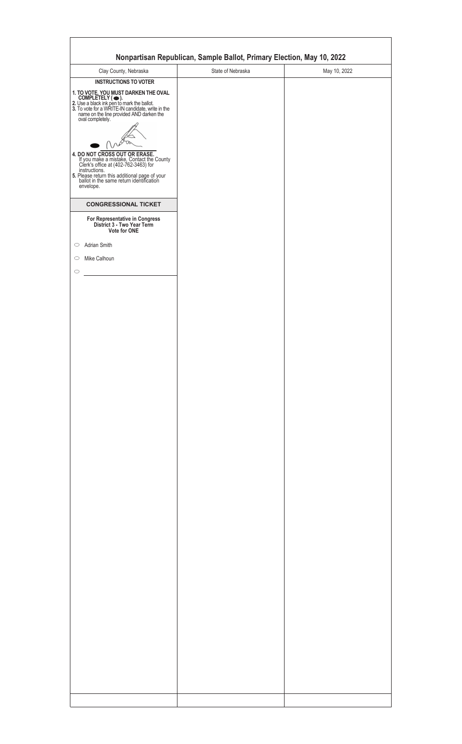|                                                                                                                                                                                                                                                               | Nonpartisan Republican, Sample Ballot, Primary Election, May 10, 2022 |              |
|---------------------------------------------------------------------------------------------------------------------------------------------------------------------------------------------------------------------------------------------------------------|-----------------------------------------------------------------------|--------------|
| Clay County, Nebraska                                                                                                                                                                                                                                         | State of Nebraska                                                     | May 10, 2022 |
| <b>INSTRUCTIONS TO VOTER</b><br>1. TO VOTE, YOU MUST DARKEN THE OVAL<br>COMPLETELY ( •• ).<br>2. Use a black ink pen to mark the ballot.<br>3. To vote for a WRITE-IN candidate, write in the<br>name on the line provided AND darken the<br>oval completely. |                                                                       |              |
| <b>4. DO NOT CROSS OUT OR ERASE.</b><br>If you make a mistake, Contact the County<br>Clerk's office at (402-762-3463) for<br>instructions.<br><b>5.</b> Please return this additional page of your<br>ballot in the same return identification<br>envelope.   |                                                                       |              |
| <b>CONGRESSIONAL TICKET</b>                                                                                                                                                                                                                                   |                                                                       |              |
| For Representative in Congress<br>District 3 - Two Year Term<br>Vote for ONE                                                                                                                                                                                  |                                                                       |              |
|                                                                                                                                                                                                                                                               |                                                                       |              |
| Adrian Smith                                                                                                                                                                                                                                                  |                                                                       |              |
| Mike Calhoun                                                                                                                                                                                                                                                  |                                                                       |              |
|                                                                                                                                                                                                                                                               |                                                                       |              |
|                                                                                                                                                                                                                                                               |                                                                       |              |
|                                                                                                                                                                                                                                                               |                                                                       |              |
|                                                                                                                                                                                                                                                               |                                                                       |              |
|                                                                                                                                                                                                                                                               |                                                                       |              |
|                                                                                                                                                                                                                                                               |                                                                       |              |
|                                                                                                                                                                                                                                                               |                                                                       |              |
|                                                                                                                                                                                                                                                               |                                                                       |              |
|                                                                                                                                                                                                                                                               |                                                                       |              |
|                                                                                                                                                                                                                                                               |                                                                       |              |
|                                                                                                                                                                                                                                                               |                                                                       |              |
|                                                                                                                                                                                                                                                               |                                                                       |              |
|                                                                                                                                                                                                                                                               |                                                                       |              |
|                                                                                                                                                                                                                                                               |                                                                       |              |
|                                                                                                                                                                                                                                                               |                                                                       |              |
|                                                                                                                                                                                                                                                               |                                                                       |              |
|                                                                                                                                                                                                                                                               |                                                                       |              |
|                                                                                                                                                                                                                                                               |                                                                       |              |
|                                                                                                                                                                                                                                                               |                                                                       |              |
|                                                                                                                                                                                                                                                               |                                                                       |              |
|                                                                                                                                                                                                                                                               |                                                                       |              |
|                                                                                                                                                                                                                                                               |                                                                       |              |
|                                                                                                                                                                                                                                                               |                                                                       |              |
|                                                                                                                                                                                                                                                               |                                                                       |              |
|                                                                                                                                                                                                                                                               |                                                                       |              |
|                                                                                                                                                                                                                                                               |                                                                       |              |
|                                                                                                                                                                                                                                                               |                                                                       |              |
|                                                                                                                                                                                                                                                               |                                                                       |              |
|                                                                                                                                                                                                                                                               |                                                                       |              |
|                                                                                                                                                                                                                                                               |                                                                       |              |
|                                                                                                                                                                                                                                                               |                                                                       |              |
|                                                                                                                                                                                                                                                               |                                                                       |              |
|                                                                                                                                                                                                                                                               |                                                                       |              |
|                                                                                                                                                                                                                                                               |                                                                       |              |
|                                                                                                                                                                                                                                                               |                                                                       |              |
|                                                                                                                                                                                                                                                               |                                                                       |              |
|                                                                                                                                                                                                                                                               |                                                                       |              |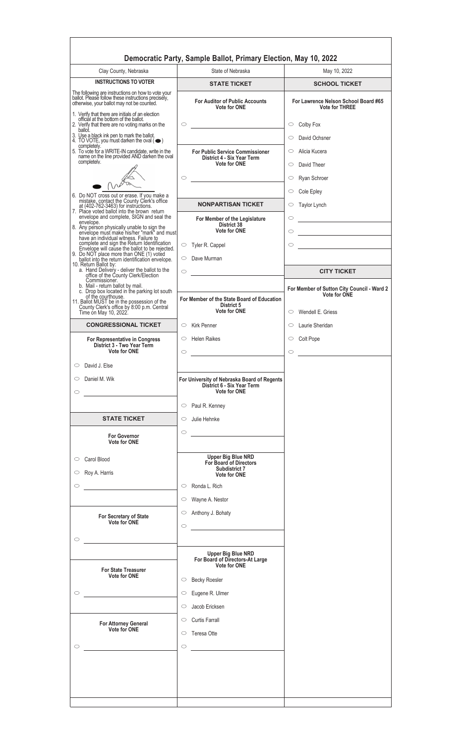|                                                                                                                                                                                                             | Democratic Party, Sample Ballot, Primary Election, May 10, 2022                           |                                                                                                                                                                                   |
|-------------------------------------------------------------------------------------------------------------------------------------------------------------------------------------------------------------|-------------------------------------------------------------------------------------------|-----------------------------------------------------------------------------------------------------------------------------------------------------------------------------------|
| Clay County, Nebraska                                                                                                                                                                                       | State of Nebraska                                                                         | May 10, 2022                                                                                                                                                                      |
| <b>INSTRUCTIONS TO VOTER</b>                                                                                                                                                                                | <b>STATE TICKET</b>                                                                       | <b>SCHOOL TICKET</b>                                                                                                                                                              |
| The following are instructions on how to vote your<br>ballot. Please follow these instructions precisely,<br>otherwise, your ballot may not be counted.<br>1. Verify that there are initials of an election | <b>For Auditor of Public Accounts</b><br><b>Vote for ONE</b>                              | For Lawrence Nelson School Board #65<br><b>Vote for THREE</b>                                                                                                                     |
| official at the bottom of the ballot.<br>2. Verify that there are no voting marks on the<br>ballot.                                                                                                         | $\circ$                                                                                   | $\circ$ Colby Fox                                                                                                                                                                 |
| 3. Use a black ink pen to mark the ballot.<br>4. TO VOTE, you must darken the oval $(\bullet)$<br>completely.                                                                                               |                                                                                           | $\circ$<br>David Ochsner                                                                                                                                                          |
| 5. To vote for a WRITE-IN candidate, write in the<br>name on the line provided AND darken the oval                                                                                                          | <b>For Public Service Commissioner</b><br>District 4 - Six Year Term                      | Alicia Kucera<br>$\circ$                                                                                                                                                          |
| completely.                                                                                                                                                                                                 | <b>Vote for ONE</b>                                                                       | David Theer<br>$\circ$                                                                                                                                                            |
|                                                                                                                                                                                                             | $\circ$<br><u> 1989 - Johann Barbara, martxa alemaniar a</u>                              | $\circ$<br>Ryan Schroer<br>Cole Epley<br>$\circ$                                                                                                                                  |
| 6. Do NOT cross out or erase. If you make a<br>mistake, contact the County Clerk's office<br>at (402-762-3463) for instructions.                                                                            | <b>NONPARTISAN TICKET</b>                                                                 | Taylor Lynch<br>$\circ$                                                                                                                                                           |
| 7. Place voted ballot into the brown return<br>envelope and complete, SIGN and seal the<br>envelope.                                                                                                        | For Member of the Legislature                                                             | $\mathcal{L}^{\mathcal{L}}(\mathcal{L}^{\mathcal{L}})$ and $\mathcal{L}^{\mathcal{L}}(\mathcal{L}^{\mathcal{L}})$ . In the contract of the $\mathcal{L}^{\mathcal{L}}$<br>$\circ$ |
| 8. Any person physically unable to sign the<br>envelope must make his/her_"mark" and must<br>have an individual witness. Failure to                                                                         | District 38<br><b>Vote for ONE</b>                                                        | $\circ$<br><u> 1980 - Johann Barbara, martxa a</u>                                                                                                                                |
| complete and sign the Return Identification                                                                                                                                                                 | $\circ$ Tyler R. Cappel                                                                   | $\circ$<br><u> 1989 - Jan Stein Stein Stein Stein Stein Stein Stein Stein Stein Stein Stein Stein Stein Stein Stein Stein S</u>                                                   |
| Envelope will cause the ballot to be rejected.<br>9. Do NOT place more than ONE (1) voted<br>ballot into the return identification envelope.<br>10. Return Ballot by:                                       | $\circ$ Dave Murman                                                                       |                                                                                                                                                                                   |
| a. Hand Delivery - deliver the ballot to the<br>office of the County Clerk/Election<br>Commissioner.                                                                                                        | $\circ$                                                                                   | <b>CITY TICKET</b>                                                                                                                                                                |
| b. Mail - return ballot by mail.<br>c. Drop box located in the parking lot south<br>of the courthouse.                                                                                                      |                                                                                           | For Member of Sutton City Council - Ward 2<br><b>Vote for ONE</b>                                                                                                                 |
| 11. Ballot MUST be in the possession of the<br>County Clerk's office by 8:00 p.m. Central<br>Time on May 10, 2022.                                                                                          | For Member of the State Board of Education<br>District 5<br>Vote for ONE                  | $\circ$ Wendell E. Griess                                                                                                                                                         |
| <b>CONGRESSIONAL TICKET</b>                                                                                                                                                                                 | $\circ$ Kirk Penner                                                                       | Laurie Sheridan<br>$\circ$                                                                                                                                                        |
| For Representative in Congress<br>District 3 - Two Year Term<br><b>Vote for ONE</b>                                                                                                                         | $\circ$ Helen Raikes<br>$\circ$                                                           | $\circ$ Colt Pope<br>$\circ$                                                                                                                                                      |
| David J. Else<br>$\circ$                                                                                                                                                                                    |                                                                                           |                                                                                                                                                                                   |
| Daniel M. Wik<br>$\circ$<br>$\circ$                                                                                                                                                                         | For University of Nebraska Board of Regents<br>District 6 - Six Year Term<br>Vote for ONE |                                                                                                                                                                                   |
|                                                                                                                                                                                                             | $\circ$ Paul R. Kenney                                                                    |                                                                                                                                                                                   |
| <b>STATE TICKET</b>                                                                                                                                                                                         | Julie Hehnke<br>$\circ$                                                                   |                                                                                                                                                                                   |
| <b>For Governor</b><br><b>Vote for ONE</b>                                                                                                                                                                  | $\circ$<br><u> 1989 - Jan Stein Stein, fransk politik (</u>                               |                                                                                                                                                                                   |
| Carol Blood<br>$\circ$                                                                                                                                                                                      | <b>Upper Big Blue NRD</b><br>For Board of Directors<br>Subdistrict 7                      |                                                                                                                                                                                   |
| Roy A. Harris<br>$\circ$                                                                                                                                                                                    | Vote for ONE                                                                              |                                                                                                                                                                                   |
| $\circ$                                                                                                                                                                                                     | $\circ$ Ronda L. Rich                                                                     |                                                                                                                                                                                   |
|                                                                                                                                                                                                             | Wayne A. Nestor<br>$\circ$<br>Anthony J. Bohaty<br>$\circ$                                |                                                                                                                                                                                   |
| For Secretary of State<br>Vote for ONE                                                                                                                                                                      | $\circ$                                                                                   |                                                                                                                                                                                   |
| $\circ$                                                                                                                                                                                                     |                                                                                           |                                                                                                                                                                                   |
|                                                                                                                                                                                                             | <b>Upper Big Blue NRD</b>                                                                 |                                                                                                                                                                                   |
| <b>For State Treasurer</b>                                                                                                                                                                                  | For Board of Directors-At Large<br>Vote for ONE                                           |                                                                                                                                                                                   |
| <b>Vote for ONE</b>                                                                                                                                                                                         | <b>Becky Roesler</b><br>$\circ$                                                           |                                                                                                                                                                                   |
| $\circ$                                                                                                                                                                                                     | Eugene R. Ulmer<br>$\circ$                                                                |                                                                                                                                                                                   |
|                                                                                                                                                                                                             | Jacob Ericksen<br>$\circ$                                                                 |                                                                                                                                                                                   |
| For Attorney General<br>Vote for ONE                                                                                                                                                                        | <b>Curtis Farrall</b><br>$\circ$                                                          |                                                                                                                                                                                   |
| $\circ$                                                                                                                                                                                                     | $\circ$ Teresa Otte<br>$\circ$                                                            |                                                                                                                                                                                   |
|                                                                                                                                                                                                             |                                                                                           |                                                                                                                                                                                   |
|                                                                                                                                                                                                             |                                                                                           |                                                                                                                                                                                   |
|                                                                                                                                                                                                             |                                                                                           |                                                                                                                                                                                   |
|                                                                                                                                                                                                             |                                                                                           |                                                                                                                                                                                   |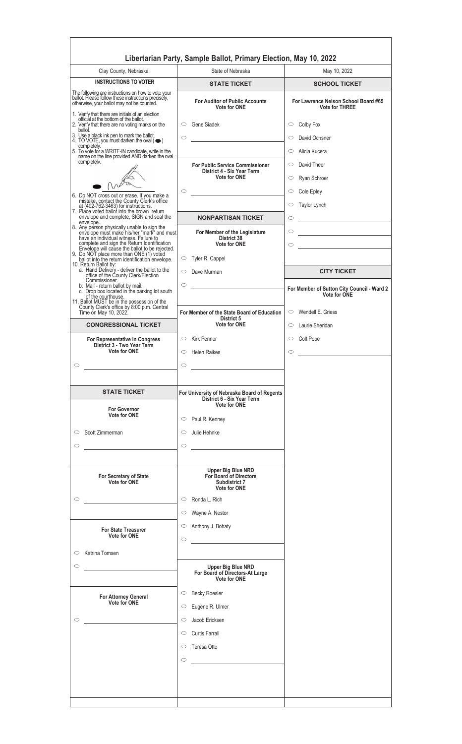| Clay County, Nebraska                                                                                                                                                 | State of Nebraska                                                                                                                                      | May 10, 2022                                                             |
|-----------------------------------------------------------------------------------------------------------------------------------------------------------------------|--------------------------------------------------------------------------------------------------------------------------------------------------------|--------------------------------------------------------------------------|
| <b>INSTRUCTIONS TO VOTER</b>                                                                                                                                          | <b>STATE TICKET</b>                                                                                                                                    | <b>SCHOOL TICKET</b>                                                     |
| The following are instructions on how to vote your<br>ballot. Please follow these instructions precisely,<br>otherwise, your ballot may not be counted.               | <b>For Auditor of Public Accounts</b><br><b>Vote for ONE</b>                                                                                           | For Lawrence Nelson School Board #65<br><b>Vote for THREE</b>            |
| 1. Verify that there are initials of an election<br>official at the bottom of the ballot.<br>2. Verify that there are no voting marks on the<br>ballot.               | $\circ$ Gene Siadek                                                                                                                                    | Colby Fox<br>$\circ$                                                     |
| 3. Use a black ink pen to mark the ballot.<br>4. TO VOTE, you must darken the oval $(\bullet)$<br>completely.                                                         | $\circ$<br><u> 1980 - Johann Barbara, martxa a</u>                                                                                                     | David Ochsner<br>$\circ$<br>$\circlearrowright$                          |
| 5. To vote for a WRITE-IN candidate, write in the<br>name on the line provided AND darken the oval<br>completely.                                                     |                                                                                                                                                        | Alicia Kucera                                                            |
|                                                                                                                                                                       | <b>For Public Service Commissioner</b><br>District 4 - Six Year Term<br><b>Vote for ONE</b>                                                            | David Theer<br>$\circ$<br>Ryan Schroer<br>$\circ$                        |
|                                                                                                                                                                       | $\circ$                                                                                                                                                | Cole Epley<br>$\circ$                                                    |
| 6. Do NOT cross out or erase. If you make a<br>mistake, contact the County Clerk's office<br>at (402-762-3463) for instructions.                                      |                                                                                                                                                        | Taylor Lynch<br>$\circ$                                                  |
| 7. Place voted ballot into the brown return<br>envelope and complete, SIGN and seal the                                                                               | <b>NONPARTISAN TICKET</b>                                                                                                                              | $\circ$                                                                  |
| envelope.<br>8. Any person physically unable to sign the<br>envelope must make his/her_"mark" and must                                                                | For Member of the Legislature                                                                                                                          | $\circ$<br><u> 1980 - Johann Barn, mars an t-Amerikaansk politiker (</u> |
| have an individual witness. Failure to<br>complete and sign the Return Identification                                                                                 | District 38<br><b>Vote for ONE</b>                                                                                                                     | $\circ$                                                                  |
| Envelope will cause the ballot to be rejected.<br>9. Do NOT place more than ONE (1) voted<br>ballot into the return identification envelope.<br>10. Return Ballot by: | $\circ$ Tyler R. Cappel                                                                                                                                |                                                                          |
| a. Hand Delivery - deliver the ballot to the<br>office of the County Clerk/Election<br>Commissioner.                                                                  | $\circ$ Dave Murman<br>$\circ$<br><u> 1989 - Jan Stein Stein Stein Stein Stein Stein Stein Stein Stein Stein Stein Stein Stein Stein Stein Stein S</u> | <b>CITY TICKET</b>                                                       |
| b. Mail - return ballot by mail.<br>c. Drop box located in the parking lot south<br>of the courthouse.                                                                |                                                                                                                                                        | For Member of Sutton City Council - Ward 2<br><b>Vote for ONE</b>        |
| 11. Ballot MUST be in the possession of the<br>County Clerk's office by 8:00 p.m. Central<br>Time on May 10, 2022.                                                    | For Member of the State Board of Education                                                                                                             | $\circ$ Wendell E. Griess                                                |
| <b>CONGRESSIONAL TICKET</b>                                                                                                                                           | District 5<br><b>Vote for ONE</b>                                                                                                                      | Laurie Sheridan<br>$\circ$                                               |
| For Representative in Congress                                                                                                                                        | $\circ$ Kirk Penner                                                                                                                                    | $\circ$ Colt Pope                                                        |
| District 3 - Two Year Term<br><b>Vote for ONE</b>                                                                                                                     | $\circ$ Helen Raikes                                                                                                                                   |                                                                          |
|                                                                                                                                                                       |                                                                                                                                                        | O                                                                        |
| $\circ$                                                                                                                                                               | $\circ$                                                                                                                                                |                                                                          |
|                                                                                                                                                                       |                                                                                                                                                        |                                                                          |
| <b>STATE TICKET</b>                                                                                                                                                   | For University of Nebraska Board of Regents<br>District 6 - Six Year Term                                                                              |                                                                          |
| <b>For Governor</b><br>Vote for ONE                                                                                                                                   | <b>Vote for ONE</b>                                                                                                                                    |                                                                          |
|                                                                                                                                                                       | $\circ$ Paul R. Kenney                                                                                                                                 |                                                                          |
| Scott Zimmerman<br>$\circ$                                                                                                                                            | Julie Hehnke<br>$\circ$                                                                                                                                |                                                                          |
| $\circ$                                                                                                                                                               | $\circ$                                                                                                                                                |                                                                          |
|                                                                                                                                                                       | <b>Upper Big Blue NRD</b>                                                                                                                              |                                                                          |
| For Secretary of State<br>Vote for ONE                                                                                                                                | For Board of Directors<br>Subdistrict 7<br><b>Vote for ONE</b>                                                                                         |                                                                          |
| $\circ$                                                                                                                                                               | Ronda L. Rich<br>$\circ$                                                                                                                               |                                                                          |
|                                                                                                                                                                       | Wayne A. Nestor<br>$\circ$                                                                                                                             |                                                                          |
| <b>For State Treasurer</b><br><b>Vote for ONE</b>                                                                                                                     | Anthony J. Bohaty<br>$\circ$<br>$\circ$                                                                                                                |                                                                          |
| $\circ$ Katrina Tomsen                                                                                                                                                |                                                                                                                                                        |                                                                          |
| $\circ$                                                                                                                                                               | <b>Upper Big Blue NRD</b>                                                                                                                              |                                                                          |
|                                                                                                                                                                       | For Board of Directors-At Large<br>Vote for ONE                                                                                                        |                                                                          |
| <b>For Attorney General</b>                                                                                                                                           | <b>Becky Roesler</b><br>$\circ$                                                                                                                        |                                                                          |
| Vote for ONE                                                                                                                                                          | Eugene R. Ulmer<br>$\circ$                                                                                                                             |                                                                          |
|                                                                                                                                                                       | Jacob Ericksen<br>$\circ$                                                                                                                              |                                                                          |
| $\circ$                                                                                                                                                               |                                                                                                                                                        |                                                                          |
|                                                                                                                                                                       | <b>Curtis Farrall</b><br>$\circ$                                                                                                                       |                                                                          |
|                                                                                                                                                                       | $\circ$ Teresa Otte                                                                                                                                    |                                                                          |
|                                                                                                                                                                       | $\circ$                                                                                                                                                |                                                                          |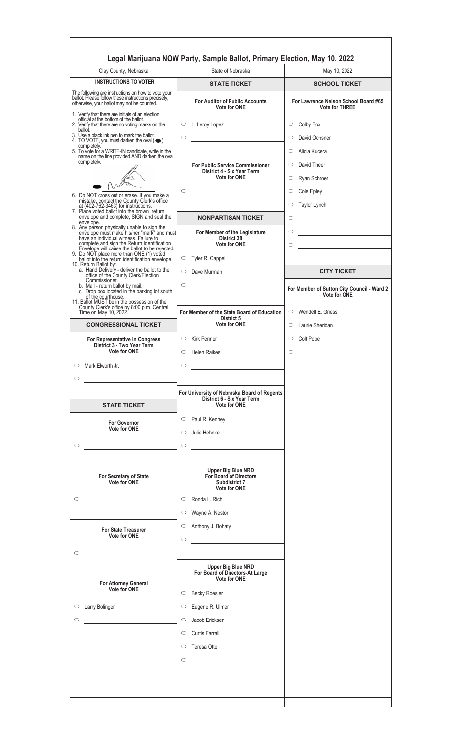| Clay County, Nebraska                                                                                                                                                                       | State of Nebraska                                                                           | May 10, 2022                                                      |
|---------------------------------------------------------------------------------------------------------------------------------------------------------------------------------------------|---------------------------------------------------------------------------------------------|-------------------------------------------------------------------|
| <b>INSTRUCTIONS TO VOTER</b>                                                                                                                                                                | <b>STATE TICKET</b>                                                                         | <b>SCHOOL TICKET</b>                                              |
| The following are instructions on how to vote your<br>ballot. Please follow these instructions precisely,<br>otherwise, your ballot may not be counted.                                     | <b>For Auditor of Public Accounts</b><br><b>Vote for ONE</b>                                | For Lawrence Nelson School Board #65<br><b>Vote for THREE</b>     |
| 1. Verify that there are initials of an election<br>official at the bottom of the ballot.<br>2. Verify that there are no voting marks on the<br>ballot.                                     | $\circ$ L. Leroy Lopez                                                                      | Colby Fox<br>$\circ$                                              |
| 3. Use a black ink pen to mark the ballot.<br>4. TO VOTE, you must darken the oval $(\bullet)$<br>completely.                                                                               | $\circ$<br><u> 1989 - Andrea Station Barbara, amerikan per</u>                              | David Ochsner<br>$\circ$                                          |
| 5. To vote for a WRITE-IN candidate, write in the<br>name on the line provided AND darken the oval                                                                                          |                                                                                             | Alicia Kucera<br>$\circ$                                          |
| completely.                                                                                                                                                                                 | <b>For Public Service Commissioner</b><br>District 4 - Six Year Term<br><b>Vote for ONE</b> | David Theer<br>$\circ$<br>Ryan Schroer<br>$\circ$                 |
|                                                                                                                                                                                             | $\circ$                                                                                     | Cole Epley<br>$\circ$                                             |
| 6. Do NOT cross out or erase. If you make a<br>mistake, contact the County Clerk's office<br>at (402-762-3463) for instructions.                                                            |                                                                                             | Taylor Lynch<br>$\circ$                                           |
| 7. Place voted ballot into the brown return<br>envelope and complete, SIGN and seal the                                                                                                     | <b>NONPARTISAN TICKET</b>                                                                   |                                                                   |
| envelope.<br>8. Any person physically unable to sign the<br>envelope must make his/her_"mark" and must                                                                                      |                                                                                             | $\circ$                                                           |
| have an individual witness. Failure to                                                                                                                                                      | For Member of the Legislature<br>District 38                                                | $\circ$                                                           |
| complete and sign the Return Identification<br>Envelope will cause the ballot to be rejected.<br>9. Do NOT place more than ONE (1) voted<br>ballot into the return identification envelope. | <b>Vote for ONE</b><br>$\circ$ Tyler R. Cappel                                              | $\circ$                                                           |
| 10. Return Ballot by:<br>a. Hand Delivery - deliver the ballot to the<br>office of the County Clerk/Election                                                                                | $\circ$ Dave Murman                                                                         | <b>CITY TICKET</b>                                                |
| Commissioner.<br>b. Mail - return ballot by mail.<br>c. Drop box located in the parking lot south<br>of the courthouse.                                                                     | $\circ$<br><u> 1989 - Jan Barbara Barbara, masa ka</u>                                      | For Member of Sutton City Council - Ward 2<br><b>Vote for ONE</b> |
| 11. Ballot MUST be in the possession of the<br>County Clerk's office by 8:00 p.m. Central                                                                                                   |                                                                                             |                                                                   |
| Time on May 10, 2022.                                                                                                                                                                       | For Member of the State Board of Education<br>District 5                                    | $\circ$ Wendell E. Griess                                         |
| <b>CONGRESSIONAL TICKET</b>                                                                                                                                                                 | <b>Vote for ONE</b>                                                                         | Laurie Sheridan<br>$\circ$                                        |
| For Representative in Congress<br>District 3 - Two Year Term                                                                                                                                | $\circ$ Kirk Penner                                                                         | $\circ$ Colt Pope                                                 |
| <b>Vote for ONE</b>                                                                                                                                                                         | $\circ$ Helen Raikes                                                                        | O                                                                 |
| Mark Elworth Jr.<br>$\circ$                                                                                                                                                                 | $\circ$                                                                                     |                                                                   |
| $\circ$                                                                                                                                                                                     |                                                                                             |                                                                   |
|                                                                                                                                                                                             | For University of Nebraska Board of Regents<br>District 6 - Six Year Term                   |                                                                   |
| <b>STATE TICKET</b>                                                                                                                                                                         | <b>Vote for ONE</b>                                                                         |                                                                   |
| <b>For Governor</b>                                                                                                                                                                         | $\circ$ Paul R. Kenney                                                                      |                                                                   |
| <b>Vote for ONE</b>                                                                                                                                                                         | Julie Hehnke<br>$\circ$                                                                     |                                                                   |
| $\circ$                                                                                                                                                                                     | $\circ$<br><u> 1980 - Andrea Station Books, amerikansk politik (d. 1980)</u>                |                                                                   |
|                                                                                                                                                                                             |                                                                                             |                                                                   |
| For Secretary of State<br>Vote for ONE                                                                                                                                                      | <b>Upper Big Blue NRD</b><br>For Board of Directors<br>Subdistrict 7<br><b>Vote for ONE</b> |                                                                   |
| $\circ$                                                                                                                                                                                     | Ronda L. Rich<br>$\circ$                                                                    |                                                                   |
|                                                                                                                                                                                             | Wayne A. Nestor<br>$\circ$                                                                  |                                                                   |
|                                                                                                                                                                                             | Anthony J. Bohaty<br>$\circ$                                                                |                                                                   |
| <b>For State Treasurer</b><br><b>Vote for ONE</b>                                                                                                                                           |                                                                                             |                                                                   |
|                                                                                                                                                                                             | $\circ$                                                                                     |                                                                   |
| $\circ$                                                                                                                                                                                     |                                                                                             |                                                                   |
|                                                                                                                                                                                             | <b>Upper Big Blue NRD</b><br>For Board of Directors-At Large                                |                                                                   |
| <b>For Attorney General</b><br>Vote for ONE                                                                                                                                                 | Vote for ONE<br><b>Becky Roesler</b><br>$\circ$                                             |                                                                   |
| $\circ$ Larry Bolinger                                                                                                                                                                      | Eugene R. Ulmer<br>$\circ$                                                                  |                                                                   |
| $\circ$                                                                                                                                                                                     | Jacob Ericksen<br>$\circ$                                                                   |                                                                   |
|                                                                                                                                                                                             | Curtis Farrall                                                                              |                                                                   |
|                                                                                                                                                                                             | $\circ$                                                                                     |                                                                   |
|                                                                                                                                                                                             | $\circ$ Teresa Otte                                                                         |                                                                   |
|                                                                                                                                                                                             | $\circ$                                                                                     |                                                                   |
|                                                                                                                                                                                             |                                                                                             |                                                                   |
|                                                                                                                                                                                             |                                                                                             |                                                                   |

<u> 1980 - Johann Barbara, martxa alemaniar a</u>